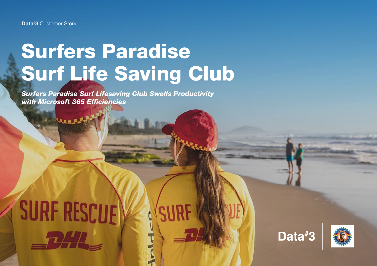## Surfers Paradise Surf Life Saving Club

*Surfers Paradise Surf Lifesaving Club Swells Productivity with Microsoft 365 Efficiencies*

# **SURF RESCUE**  $\sqrt{ }$



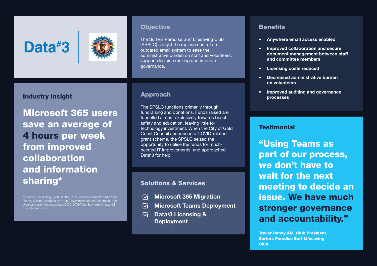### Data#3



#### Industry Insight

Microsoft 365 users save an average of 4 hours per week from improved collaboration and information sharing\*

\*Forrester Consulting, (April, 2019). Total Economic Impact of Microsoft Teams. [Online] Available at: https://www.microsoft.com/microsoft-365/ blog/wp-content/uploads/sites/2/2019/04/Total-Economic-Impact-Microsoft-Teams.pdf

#### **Objective**

The Surfers Paradise Surf Lifesaving Club (SPSLC) sought the replacement of an outdated email system to ease the administrative burden on staff and volunteers, support decision making and improve governance.

The SPSLC functions primarily through fundraising and donations. Funds raised are funnelled almost exclusively towards beach safety and education, leaving little for technology investment. When the City of Gold Coast Council announced a COVID-related grant scheme, the SPSLC seized the opportunity to utilise the funds for muchneeded IT improvements, and approached Data# 3 for help.

#### Solutions & Services

- Microsoft 365 Migration  $\nabla$
- $\nabla$ Microsoft Teams Deployment
- $\overline{\mathsf{M}}$ Data# 3 Licensing & **Deployment**

#### **Benefits**

- Anywhere email access enabled
- Improved collaboration and secure document management between staff and committee members
- Licensing costs reduced
- Decreased administrative burden on volunteers
- Improved auditing and governance Approach and the contract of the contract of the contract of the contract of the contract of the contract of t<br>Processes

#### **Testimonial**

"Using Teams as part of our process, we don't have to wait for the next meeting to decide an issue. We have much stronger governance and accountability."

Trevor Hendy AM, Club President, Surfers Paradise Surf Lifesaving Club.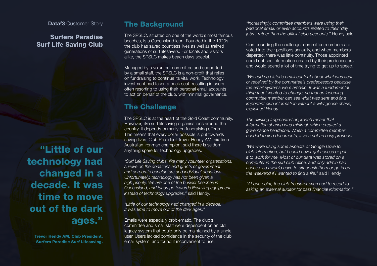Data<sup>#</sup>3 Customer Story

#### Surfers Paradise Surf Life Saving Club

"Little of our technology had changed in a decade. It was time to move out of the dark ages."

Trevor Hendy AM, Club President, Surfers Paradise Surf Lifesaving.

#### The Background

The SPSLC, situated on one of the world's most famous beaches, is a Queensland icon. Founded in the 1920s, the club has saved countless lives as well as trained generations of surf lifesavers. For locals and visitors alike, the SPSLC makes beach days special.

Managed by a volunteer committee and supported by a small staff, the SPSLC is a non-profit that relies on fundraising to continue its vital work. Technology investment had taken a back seat, resulting in users often resorting to using their personal email accounts to act on behalf of the club, with minimal governance.

### The Challenge

The SPSLC is at the heart of the Gold Coast community. However, like surf lifesaving organisations around the country, it depends primarily on fundraising efforts. This means that every dollar possible is put towards saving lives. Club President Trevor Hendy AM, six-time Australian Ironman champion, said there is seldom anything spare for technology upgrades.

*"Surf Life Saving clubs, like many volunteer organisations, survive on the donations and grants of government and corporate benefactors and individual donations. Unfortunately, technology has not been given a high priority. We are one of the busiest beaches in Queensland, and funds go towards lifesaving equipment instead of technology upgrades,"* said Hendy.

*"Little of our technology had changed in a decade. It was time to move out of the dark ages."*

Emails were especially problematic. The club's committee and small staff were dependent on an old legacy system that could only be maintained by a single user. Users lacked confidence in the security of the club email system, and found it inconvenient to use.

*"Increasingly, committee members were using their personal email, or even accounts related to their 'day jobs', rather than the official club accounts,"* Hendy said.

Compounding the challenge, committee members are voted into their positions annually, and when members departed, there was little continuity. Those appointed could not see information created by their predecessors and would spend a lot of time trying to get up to speed.

*"We had no historic email content about what was sent or received by the committee's predecessors because the email systems were archaic. It was a fundamental thing that I wanted to change, so that an incoming committee member can see what was sent and find important club information without a wild goose chase," explained Hendy.*

*The existing fragmented approach meant that information sharing was minimal, which created a governance headache. When a committee member needed to find documents, it was not an easy prospect.*

*"We were using some aspects of Google Drive for club information, but I could never get access or get it to work for me. Most of our data was stored on a computer in the surf club office, and only admin had access, so I would have to either ask them or go in on the weekend if I wanted to find a file,"* said Hendy.

*"At one point, the club treasurer even had to resort to asking an external auditor for past financial information."*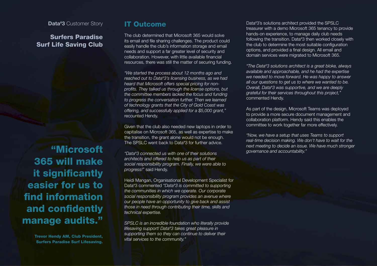Data<sup>#</sup>3 Customer Story

#### Surfers Paradise Surf Life Saving Club

"Microsoft 365 will make it significantly easier for us to find information and confidently manage audits."

> Trevor Hendy AM, Club President, Surfers Paradise Surf Lifesaving.

#### IT Outcome

The club determined that Microsoft 365 would solve its email and file sharing challenges. The product could easily handle the club's information storage and email needs and support a far greater level of security and collaboration. However, with little available financial resources, there was still the matter of securing funding.

*"We started the process about 12 months ago and reached out to Data# 3's licensing business, as we had heard that Microsoft offers special pricing for nonprofits. They talked us through the license options, but the committee members lacked the focus and funding to progress the conversation further. Then we learned of technology grants that the City of Gold Coast was offering, and successfully applied for a \$5,000 grant,"*  recounted Hendy.

Given that the club also needed new laptops in order to capitalise on Microsoft 365, as well as expertise to make the transition, the grant alone would not be enough. The SPSLC went back to Data# 3 for further advice.

*"Data# 3 connected us with one of their solutions architects and offered to help us as part of their social responsibility program. Finally, we were able to progress!"* said Hendy.

Heidi Mangan, Organisational Development Specialist for Data# 3 commented *"Data# 3 is committed to supporting the communities in which we operate. Our corporate social responsibility program provides an avenue where our people have an opportunity to give back and assist those in need through contributing their time, skills and technical expertise.* 

*SPSLC is an incredible foundation who literally provide lifesaving support! Data# 3 takes great pleasure in supporting them so they can continue to deliver their vital services to the community."*

Data# 3's solutions architect provided the SPSLC treasurer with a demo Microsoft 365 tenancy to provide hands-on experience, to manage daily club needs following the transition. Data# 3 then worked closely with the club to determine the most suitable configuration options, and provided a final design. All email and domain services were migrated to Microsoft 365.

*"The Data# 3 solutions architect is a great bloke, always available and approachable, and he had the expertise we needed to move forward. He was happy to answer all our questions to get us to where we wanted to be. Overall, Data# 3 was supportive, and we are deeply grateful for their services throughout this project,"*  commented Hendy.

As part of the design, Microsoft Teams was deployed to provide a more secure document management and collaboration platform. Hendy said this enables the committee to work together far more effectively.

*"Now, we have a setup that uses Teams to support real-time decision making. We don't have to wait for the next meeting to decide an issue. We have much stronger governance and accountability."*